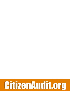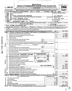|                            |                                                                                                                                    | <b>Short Form</b><br><b>Return of Organization Exempt From Income Tax</b><br>Under section 501(c), 527, or 4947(a)(1) of the Internal Revenue Code (except black lung benefit trust or<br>private foundation)<br>Form 990-EZ                                                                                                                                                                                                                                                                                                                              |                              |                                                | OMB No 1545-1150                                                      |
|----------------------------|------------------------------------------------------------------------------------------------------------------------------------|-----------------------------------------------------------------------------------------------------------------------------------------------------------------------------------------------------------------------------------------------------------------------------------------------------------------------------------------------------------------------------------------------------------------------------------------------------------------------------------------------------------------------------------------------------------|------------------------------|------------------------------------------------|-----------------------------------------------------------------------|
| Department of the Treasury |                                                                                                                                    |                                                                                                                                                                                                                                                                                                                                                                                                                                                                                                                                                           |                              |                                                |                                                                       |
|                            |                                                                                                                                    | Sponsoring organizations of donor advised funds and controlling organizations as defined in section 512(b)(13) must file Form 990 All<br>other organizations with gross receipts less than \$1,000,000 and total assets less than<br>Internal Revenue Service<br>The organization may have to use a copy of this return to satisfy state reporting requirements.                                                                                                                                                                                          |                              |                                                | Open to Public<br>Inspection                                          |
|                            | Check if                                                                                                                           | For the 2008 calendar year, or tax year beginning<br><b>JUL</b><br>2008<br>and ending<br>- 7<br>JUN<br>C Name of organization                                                                                                                                                                                                                                                                                                                                                                                                                             | -30.                         |                                                | 2009<br>D Employer identification number                              |
|                            | applicable<br>Address<br>change<br>Name<br>change<br>Initial<br>return<br>Termın-<br>atıon<br>return<br>  Application<br>  pending | Please<br>use IRS<br>label or<br>print or<br>UAZZ EDUCATION NETWORK<br>type<br>Number and street (or P.O. box, if mail is not delivered to street address)<br>Room/suite<br>See<br>$\frac{Spectific}{1601}$ OAKWOOD #101<br>Instruc-<br>City or town, state or country, and ZIP $+4$<br>Amended tions<br>HIGHLAND PARK, IL<br>60035<br>G Accounting method: $X$ Cash<br>• Section 501(c)(3) organizations and 4947(a)(1) nonexempt charitable trusts must attach a completed<br>Schedule A (Form 990 or 990-EZ).<br>Other (specify) $\blacktriangleright$ | Number $\blacktriangleright$ | <b>E</b> Telephone number<br>F Group Exemption | 26-2880358<br>$972 - 233 - 9107$<br>Accrual                           |
|                            |                                                                                                                                    | Website: WWW.JAZZEDNET.ORG                                                                                                                                                                                                                                                                                                                                                                                                                                                                                                                                |                              |                                                | H Check $\triangleright \lfloor x \rfloor$ if the organization is not |
|                            |                                                                                                                                    | Organization type (check only one) $\boxed{\mathbf{X}}$ 501(c) (3) < (insert no.) [<br>4947(a)(1) or                                                                                                                                                                                                                                                                                                                                                                                                                                                      |                              |                                                | 527 required to attach Schedule B (Form 990, 990-EZ, or 990-PF)       |
|                            | $K$ Check $\blacktriangleright$                                                                                                    | if the organization is not a section 509(a)(3) supporting organization and its gross receipts are normally not more than \$25,000. A return is not<br>required, but if the organization chooses to file a return, be sure to file a complete return.                                                                                                                                                                                                                                                                                                      |                              |                                                |                                                                       |
|                            |                                                                                                                                    | Add lines 5b, 6b, and 7b, to line 9 to determine gross receipts; if \$1,000,000 or more, file Form 990 instead of Form 990-EZ                                                                                                                                                                                                                                                                                                                                                                                                                             |                              | -\$                                            | 52,852.                                                               |
|                            | Part I                                                                                                                             | Revenue, Expenses, and Changes in Net Assets or Fund Balances (See the instructions for Part I.)                                                                                                                                                                                                                                                                                                                                                                                                                                                          |                              |                                                |                                                                       |
|                            | 1                                                                                                                                  | Contributions, gifts, grants, and similar amounts received                                                                                                                                                                                                                                                                                                                                                                                                                                                                                                |                              | 1                                              | 2,365.                                                                |
|                            | $\mathbf 2$<br>3                                                                                                                   | Program service revenue including government fees and contracts<br>Membership dues and assessments                                                                                                                                                                                                                                                                                                                                                                                                                                                        |                              | 2<br>3                                         | 2,025.<br>48,420.                                                     |
|                            | 4                                                                                                                                  | Investment income                                                                                                                                                                                                                                                                                                                                                                                                                                                                                                                                         |                              | 4                                              |                                                                       |
|                            | 5а                                                                                                                                 | Gross amount from sale of assets other than inventory<br>5a                                                                                                                                                                                                                                                                                                                                                                                                                                                                                               |                              |                                                |                                                                       |
|                            | b                                                                                                                                  | Less: cost or other basis and sales expenses<br>5b                                                                                                                                                                                                                                                                                                                                                                                                                                                                                                        |                              |                                                |                                                                       |
|                            | c                                                                                                                                  | Gain or (loss) from sale of assets other than inventory (Subtract line 5b from line 5a) (attach schedule)                                                                                                                                                                                                                                                                                                                                                                                                                                                 |                              | 5с                                             |                                                                       |
| Revenue                    | 6                                                                                                                                  | Special events and activities (complete applicable parts of Schedule G). If any amount is from gaming, check here $\blacktriangleright$                                                                                                                                                                                                                                                                                                                                                                                                                   |                              |                                                |                                                                       |
|                            |                                                                                                                                    | $a$ Gross revenue (not including $\$$<br>of contributions                                                                                                                                                                                                                                                                                                                                                                                                                                                                                                 |                              |                                                |                                                                       |
|                            |                                                                                                                                    | reported on line 1)<br>6a<br><b>b</b> Less; direct expenses other than fundraising expenses<br>6b                                                                                                                                                                                                                                                                                                                                                                                                                                                         |                              |                                                |                                                                       |
|                            | c                                                                                                                                  | Net income or (loss) from special events and activities (Subtract line 6b from line 6a)                                                                                                                                                                                                                                                                                                                                                                                                                                                                   |                              | 6c                                             |                                                                       |
|                            | 7a                                                                                                                                 | Gross sales of inventory, less returns and allowances<br>7а                                                                                                                                                                                                                                                                                                                                                                                                                                                                                               |                              |                                                |                                                                       |
|                            | b                                                                                                                                  | Less: cost of goods sold<br>7b                                                                                                                                                                                                                                                                                                                                                                                                                                                                                                                            |                              |                                                |                                                                       |
|                            | ¢                                                                                                                                  | Less: cost of goous suiu<br>Gross profit or (loss) from sales of inventory (Subtract line 7b from $\mu$ 0-7a)<br>ECEIVED                                                                                                                                                                                                                                                                                                                                                                                                                                  |                              | 7c                                             |                                                                       |
|                            | 8                                                                                                                                  |                                                                                                                                                                                                                                                                                                                                                                                                                                                                                                                                                           |                              | 8                                              | 42.                                                                   |
|                            | 9                                                                                                                                  | ္တိ<br>Total revenue Add lines 1, 2, 3, 4, 5c, 6c, 7c, and 8<br>ᡪ                                                                                                                                                                                                                                                                                                                                                                                                                                                                                         |                              | 9                                              | 52,852.                                                               |
|                            | 10<br>11                                                                                                                           | Grants and similar amounts paid (attach schedule)<br><b>WAY 1 1 2010</b><br>द<br>$\tilde{\phi}$ ا<br>Benefits paid to or for members                                                                                                                                                                                                                                                                                                                                                                                                                      |                              | 10                                             |                                                                       |
|                            | 12                                                                                                                                 | Ķ<br>Salaries, other compensation, and employee benefits                                                                                                                                                                                                                                                                                                                                                                                                                                                                                                  |                              | 11<br>12                                       |                                                                       |
|                            | 13                                                                                                                                 | OGDEN, UT<br>Professional fees and other payments to independent contractors                                                                                                                                                                                                                                                                                                                                                                                                                                                                              |                              | 13                                             | 500.                                                                  |
| Expenses                   | 14                                                                                                                                 | Occupancy, rent, utilities, and maintenance                                                                                                                                                                                                                                                                                                                                                                                                                                                                                                               |                              | 14                                             |                                                                       |
|                            | 15                                                                                                                                 | Printing, publications, postage, and shipping                                                                                                                                                                                                                                                                                                                                                                                                                                                                                                             |                              | 15                                             | 802.                                                                  |
|                            | 16                                                                                                                                 | Other expenses (describe<br>SEE STATEMENT                                                                                                                                                                                                                                                                                                                                                                                                                                                                                                                 |                              | 16                                             | 10, 335.                                                              |
|                            | 17                                                                                                                                 | Total expenses Add lines 10 through 16                                                                                                                                                                                                                                                                                                                                                                                                                                                                                                                    |                              | 17                                             | 11,637.                                                               |
|                            | 18<br>19                                                                                                                           | Excess or (deficit) for the year (Subtract line 17 from line 9)<br>Net assets or fund balances at beginning of year (from line 27, column (A))                                                                                                                                                                                                                                                                                                                                                                                                            |                              | 18                                             | 41, 215.                                                              |
| <b>Net Assets</b>          |                                                                                                                                    | (must agree with end-of-year figure reported on prior year's return)                                                                                                                                                                                                                                                                                                                                                                                                                                                                                      |                              | 19                                             | <u>0.</u>                                                             |
|                            | 20                                                                                                                                 | Other changes in net assets or fund balances (attach explanation)                                                                                                                                                                                                                                                                                                                                                                                                                                                                                         |                              | 20                                             |                                                                       |
|                            | 21                                                                                                                                 | Net assets or fund balances at end of year. Combine lines 18 through 20                                                                                                                                                                                                                                                                                                                                                                                                                                                                                   |                              | 21                                             | 41, 215.                                                              |
|                            | Part II                                                                                                                            | <b>Balance Sheets.</b><br>If Total assets on line 25, column (B) are \$2,500,000 or more, file Form 990 instead of Form 990-EZ.                                                                                                                                                                                                                                                                                                                                                                                                                           |                              |                                                |                                                                       |
|                            |                                                                                                                                    | (See the instructions for Part II.)<br>(A) Beginning of year                                                                                                                                                                                                                                                                                                                                                                                                                                                                                              |                              |                                                | (B) End of year                                                       |
| 22<br>23                   |                                                                                                                                    | Cash, savings, and investments<br>Land and buildings                                                                                                                                                                                                                                                                                                                                                                                                                                                                                                      | О.                           | 22                                             | 41,215.                                                               |
| 24                         |                                                                                                                                    | Other assets (describe                                                                                                                                                                                                                                                                                                                                                                                                                                                                                                                                    |                              | 23<br>24                                       |                                                                       |
| 25                         |                                                                                                                                    | <b>Total assets</b>                                                                                                                                                                                                                                                                                                                                                                                                                                                                                                                                       | 0                            | 25                                             | 41,215.                                                               |
| 26                         |                                                                                                                                    | Total liabilities (describe >                                                                                                                                                                                                                                                                                                                                                                                                                                                                                                                             | О.                           | 26                                             | $\overline{0}$ .                                                      |
| 27                         |                                                                                                                                    | Net assets or fund balances (line 27 of column (B) must agree with line 21)                                                                                                                                                                                                                                                                                                                                                                                                                                                                               | 0.1                          | 27                                             | 41,215.                                                               |
| 832171<br>12-17-08         |                                                                                                                                    | For Privacy Act and Paperwork Reduction Act Notice, see the Instructions for Form 990.<br>LHA.                                                                                                                                                                                                                                                                                                                                                                                                                                                            |                              |                                                | Form 990-EZ (2008)                                                    |
|                            |                                                                                                                                    |                                                                                                                                                                                                                                                                                                                                                                                                                                                                                                                                                           |                              |                                                |                                                                       |

 $\overline{\cdot}$ 

 $\overline{\phantom{a}}$ 

 $\overline{\rho}$ 

MOVED NOT CENTED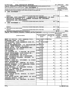| Form 990-EZ (2008)<br><b>JAZZ EDUCATION NETWORK</b>                                                                                                                                                                                     | 26-2880358                  | Page 2                                                 |                                |                    |
|-----------------------------------------------------------------------------------------------------------------------------------------------------------------------------------------------------------------------------------------|-----------------------------|--------------------------------------------------------|--------------------------------|--------------------|
| Part III   Statement of Program Service Accomplishments (See the instructions for Part III.)                                                                                                                                            |                             | <b>Expenses</b>                                        |                                |                    |
| What is the organization's primary exempt purpose? SEE STATEMENT 5                                                                                                                                                                      |                             | (Required for $501(c)(3)$<br>and (4) organizations and |                                |                    |
| Describe what was achieved in carrying out the organization's exempt purposes. In a clear and concise manner, describe the services<br>provided, the number of persons benefited, or other relevant information for each program title. | for others.)                | 4947(a)(1) trusts; optional                            |                                |                    |
| SEE STATEMENT 3<br>28                                                                                                                                                                                                                   |                             |                                                        |                                |                    |
|                                                                                                                                                                                                                                         |                             |                                                        |                                |                    |
| (Grants \$<br>) If this amount includes foreign grants, check here                                                                                                                                                                      |                             |                                                        | <b>28a</b>                     | 802.               |
| 29 NATIONAL JAZZ WORKSHOP                                                                                                                                                                                                               | - PROMOTION OF MEMBERSHIP   | IN JAZZ                                                |                                |                    |
| EDUCATION NETWORK AT A SUMMER PROGRAM FOR STUDENTS,                                                                                                                                                                                     |                             |                                                        |                                |                    |
| EDUCATORS AND PERFORMERS.<br>(Grants \$<br>) If this amount includes foreign grants, check here                                                                                                                                         |                             |                                                        | 29a                            |                    |
| SEE STATEMENT 4<br>30                                                                                                                                                                                                                   |                             |                                                        |                                |                    |
|                                                                                                                                                                                                                                         |                             |                                                        |                                |                    |
|                                                                                                                                                                                                                                         |                             |                                                        |                                |                    |
| (Grants \$<br>) If this amount includes foreign grants, check here                                                                                                                                                                      |                             |                                                        | 130a                           |                    |
| 31 Other program services (attach schedule)<br>(Grants \$<br>) If this amount includes foreign grants, check here                                                                                                                       |                             |                                                        | 131a                           |                    |
| 32 Total program service expenses (add lines 28a through 31a)                                                                                                                                                                           |                             |                                                        | 32                             | 802.               |
| Part IV List of Officers, Directors, Trustees, and Key Employees. List each one even if not compensated (See the instructions for Part IV)                                                                                              |                             |                                                        |                                |                    |
|                                                                                                                                                                                                                                         | (b) Title and average hours | (c) Compensation                                       | (d) Contributions              | (e) Expense        |
| (a) Name and address                                                                                                                                                                                                                    | per week devoted to         | (If not paid, enter                                    | to employee<br>benefit plans & | account and        |
|                                                                                                                                                                                                                                         | position                    | -0-.)                                                  | deferred<br>compensation       | other allowances   |
| MARY JO PAPICH, 1601 OAKWOOD #101,                                                                                                                                                                                                      | PRESIDENT/DIRECTOR          |                                                        |                                |                    |
| IL 60035<br>HIGHLAND PARK,                                                                                                                                                                                                              | 25.00                       | О.                                                     | О.                             | $0_{.}$            |
| 5940<br>CARNEGIE COVE CT.,<br>LOU FISCHER,                                                                                                                                                                                              | VICE PRESIDENT              |                                                        |                                |                    |
| COLUMBUS, OH 43213                                                                                                                                                                                                                      | 40.00                       | Ο.                                                     | $\mathbf 0$ .                  | 0.                 |
| 121 PRAIRIEVIEW<br>JULIE TRAENKENSCHUH,                                                                                                                                                                                                 | <b>SECRETARY</b>            |                                                        |                                |                    |
| IL 61611<br>EAST PEORIA,<br>DRIVE,<br>BRUCE SILVA, 3504 WATERCHASE WAY,                                                                                                                                                                 | 7.50<br>TREASURER           | О.                                                     | $\mathbf 0$ .                  | 0.                 |
| JACKSONVILLE, FL 32224                                                                                                                                                                                                                  | 10.00                       | О.                                                     | 0.                             | 0.                 |
| <b>JIM WIDNER</b>                                                                                                                                                                                                                       | <b>DIRECTOR</b>             |                                                        |                                |                    |
| BOUQUET CT.<br>O'FALLON,<br>MO 63368<br>127                                                                                                                                                                                             | 0.00                        | О.                                                     | О.                             | $0_{.}$            |
| STEVE CRISSINGER<br>5322 RIFLE DR.,                                                                                                                                                                                                     | <b>DIRECTOR</b>             |                                                        |                                |                    |
| CANAL WINCHESTER<br>OH 43110<br>PAUL CHIARAVALLE, 600 S MICHIGAN                                                                                                                                                                        | 0.00<br><b>DIRECTOR</b>     | 0.                                                     | 0.                             | 0.                 |
| COLUMBIA COLLEGE, CHICAGO, IL<br>AVE,                                                                                                                                                                                                   | 0.00                        | 0.                                                     | 0.                             | 0.                 |
| <b>RUBEN ALVAREZ</b>                                                                                                                                                                                                                    | <b>DIRECTOR</b>             |                                                        |                                |                    |
| 7026 W. 43RD ST.,<br>STICKNEY, IL 60402                                                                                                                                                                                                 | 0.00                        | 0.                                                     | 0.                             | 0.                 |
| PARIS RUTHERFORD                                                                                                                                                                                                                        | <b>DIRECTOR</b>             |                                                        |                                |                    |
| TX 76209<br>2913 BRISTOL ST.,<br>DENTON,                                                                                                                                                                                                | 0.00                        | 0.                                                     | 0.                             | <u>0.</u>          |
| 1379 OAKRIDGE COURT,<br>ANDREW SURMANI,<br>THOUSAND OAKS, CA 91362                                                                                                                                                                      | <b>DIRECTOR</b><br>0.00     | 0.                                                     | 0.                             | 0.                 |
| 21 HIGHLAND CIRCLE,<br>RICK KESSELL,                                                                                                                                                                                                    | <b>DIRECTOR</b>             |                                                        |                                |                    |
| NEEDHAM,<br>SUITE 1.<br><b>MA</b>                                                                                                                                                                                                       | 0.00                        | 0.                                                     | 0.                             | <u>0.</u>          |
| MIKE KENYON, 3200 E. WASHINGTON #1,                                                                                                                                                                                                     | <b>DIRECTOR</b>             |                                                        |                                |                    |
| IN 46204<br>INDIANAPOLIS,                                                                                                                                                                                                               | 0.00                        | 0.                                                     | $\mathbf 0$ .                  | <u>0.</u>          |
| DAN GREGERMAN                                                                                                                                                                                                                           | <b>DIRECTOR</b>             | 0.                                                     | 0.                             |                    |
| 9800 LAWLER DRIVE, SKOKIE, IL 60077<br>ELLEN ROWE                                                                                                                                                                                       | 0.00<br><b>DIRECTOR</b>     |                                                        |                                | 0.                 |
| MI 48109<br>1100 BAITS DRIVE, ANN ARBOR,                                                                                                                                                                                                | 0.00                        | 0.                                                     | 0.                             | 0.                 |
| JARRARD HARRIS, 4746 S.                                                                                                                                                                                                                 | <b>DIRECTOR</b>             |                                                        |                                |                    |
| <b>FORRESTVILLE,</b><br>$#2$ ,<br>CHICAGO,<br>IL 60615                                                                                                                                                                                  | 0.00                        | 0.                                                     | 0.                             | 0.                 |
|                                                                                                                                                                                                                                         |                             |                                                        |                                |                    |
|                                                                                                                                                                                                                                         |                             |                                                        |                                |                    |
|                                                                                                                                                                                                                                         |                             |                                                        |                                |                    |
| 832172<br>12-17-08                                                                                                                                                                                                                      |                             |                                                        |                                | Form 990-EZ (2008) |

 $\overline{\phantom{a}}$ 

 $\sim 10^{11}$  km  $^{-1}$ 

 $\sim 10^{-11}$ 

 $\sim$   $\sim$ 

 $\mathbf{r}$ 

 $\mathbf{1}_{\mathbf{1} \mathbf{2}} = \mathbf{1}_{\mathbf{2} \mathbf{2}}$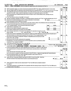|    | Form 990-EZ (2008)<br><b>JAZZ EDUCATION NETWORK</b><br>26-2880358                                                                            |                          |     | Page 3       |
|----|----------------------------------------------------------------------------------------------------------------------------------------------|--------------------------|-----|--------------|
|    | Part V<br>Other Information (Note the statement requirements in the instructions for Part VI.)                                               |                          |     |              |
|    |                                                                                                                                              |                          |     | Yes No       |
| 33 | Did the organization engage in any activity not previously reported to the IRS? If "Yes," attach a detailed description of each activity     | 33                       |     | $\mathbf{X}$ |
| 34 | Were any changes made to the organizing or governing documents but not reported to the IRS? If "Yes," attach a conformed copy of the changes | 34                       |     | $\mathbf{x}$ |
| 35 | If the organization had income from business activities, such as those reported on lines 2, 6a, and 7a (among others), but not               |                          |     |              |
|    | reported on Form 990-T, attach a statement explaining your reason for not reporting the income on Form 990-T.                                |                          |     |              |
|    | a Did the organization have unrelated business gross income of \$1,000 or more or section 6033(e) notice, reporting, and proxy               |                          |     |              |
|    | tax requirements?                                                                                                                            | 35a                      |     | $\mathbf{x}$ |
|    | b If "Yes," has it filed a tax return on Form 990-T for this year?                                                                           | 35 <sub>b</sub>          | N/R |              |
| 36 | Was there a liquidation, dissolution, termination, or substantial contraction during the year? If "Yes," complete applicable parts of Sch. N | 36                       |     | X            |
|    | 37a<br>37a Enter amount of political expenditures, direct or indirect, as described in the instructions.                                     | 0.                       |     |              |
|    | b Did the organization file Form 1120-POL for this year?                                                                                     | 37b                      |     | <u>x</u>     |
|    | 38a Did the organization borrow from, or make any loans to, any officer, director, trustee, or key employee or were any such loans made      |                          |     |              |
|    | in a prior year and still unpaid at the start of the period covered by this return?                                                          | 38a                      |     | $\mathbf{x}$ |
|    | N/A<br><b>b</b> If "Yes," complete Schedule L, Part II and enter the total amount involved<br>38b                                            |                          |     |              |
| 39 | Section 501(c)(7) organizations. Enter:                                                                                                      |                          |     |              |
|    | N/A<br>a Initiation fees and capital contributions included on line 9<br>39a                                                                 |                          |     |              |
|    | N/A<br><b>b</b> Gross receipts, included on line 9, for public use of club facilities<br>39b                                                 |                          |     |              |
|    | 40a Section 501(c)(3) organizations. Enter amount of tax imposed on the organization during the year under:                                  |                          |     |              |
|    | section $4911$<br>$\overline{0}$ $\overline{.}$ ; section 4912<br>$0.$ ; section 4955<br>Ο.                                                  |                          |     |              |
|    | b Section 501(c)(3) and (4) organizations. Did the organization engage in any section 4958 excess benefit transaction during the year or     |                          |     |              |
|    | did it become aware of an excess benefit transaction from a prior year? If "Yes," complete Schedule L, Part I                                | 40b                      |     | $\mathbf{x}$ |
|    | c Enter amount of tax imposed on organization managers or disqualified persons during the year under                                         |                          |     |              |
|    | sections 4912, 4955, and 4958<br><u>0.</u>                                                                                                   |                          |     |              |
|    | $\mathbf 0$ .<br>d Enter amount of tax on line 40c reimbursed by the organization                                                            |                          |     |              |
|    | e All organizations. At any time during the tax year, was the organization a party to a prohibited tax shelter                               |                          |     |              |
|    | transaction? If "Yes," complete Form 8886-T                                                                                                  | 40e                      |     | X.           |
| 41 | List the states with which a copy of this return is filed. $\blacktriangleright$ $\text{IL}$                                                 |                          |     |              |
|    | Telephone no. $(815)$ 585-1505<br>42a The books are in care of $\blacktriangleright$ ANDREW SURMANI                                          |                          |     |              |
|    | Located at $\blacktriangleright$ 1379 OAKRIDGE COURT, THOUSAND OAKS,<br>CA<br>$ZIP + 4$ $\triangleright$ 91362                               |                          |     |              |
|    | <b>b</b> At any time during the calendar year, did the organization have an interest in or a signature or other authority                    |                          |     |              |
|    | over a financial account in a foreign country (such as a bank account, securities account, or other financial                                |                          | Yes | No           |
|    | account)?                                                                                                                                    | 42b                      |     | $\mathbf{x}$ |
|    | If "Yes," enter the name of the foreign country: $\blacktriangleright$                                                                       |                          |     |              |
|    | See the instructions for exceptions and filing requirements for Form TD F 90-22.1, Report of Foreign Bank and Financial Accounts             |                          |     |              |
|    | c At any time during the calendar year, did the organization maintain an office outside of the U.S.?                                         | 42c                      |     | $\mathbf{x}$ |
|    | If "Yes," enter the name of the foreign country:                                                                                             |                          |     |              |
| 43 | Section 4947(a)(1) nonexempt charitable trusts filing Form 990-EZ in lieu of Form 1041 - Check here                                          |                          |     |              |
|    | and enter the amount of tax-exempt interest received or accrued during the tax year<br>43                                                    | N/A                      |     |              |
|    |                                                                                                                                              |                          |     |              |
|    |                                                                                                                                              |                          |     | Yes No       |
| 44 | Did the organization maintain any donor advised funds? If "Yes," Form 990 must be completed instead of                                       |                          |     |              |
|    | Form 990-EZ                                                                                                                                  | 44                       |     | $\mathbf{x}$ |
| 45 | Is any related organization a controlled entity of the organization within the meaning of section 512(b)(13)? If "Yes," Form 990 must be     |                          |     |              |
|    | completed instead of Form 990-EZ                                                                                                             | 45<br>Form 000-F7 (2008) |     | X.           |
|    |                                                                                                                                              |                          |     |              |

<sup>a</sup> - I I l

 $\frac{1}{\sqrt{1-\frac{1}{2}}}\frac{1}{\sqrt{1-\frac{1}{2}}}\frac{1}{\sqrt{1-\frac{1}{2}}}\frac{1}{\sqrt{1-\frac{1}{2}}}\frac{1}{\sqrt{1-\frac{1}{2}}}\frac{1}{\sqrt{1-\frac{1}{2}}}\frac{1}{\sqrt{1-\frac{1}{2}}}\frac{1}{\sqrt{1-\frac{1}{2}}}\frac{1}{\sqrt{1-\frac{1}{2}}}\frac{1}{\sqrt{1-\frac{1}{2}}}\frac{1}{\sqrt{1-\frac{1}{2}}}\frac{1}{\sqrt{1-\frac{1}{2}}}\frac{1}{\sqrt{1-\frac{1}{2}}}\frac{1}{\sqrt{1-\frac{$ 

 $\mathcal{L}$ 

 $\frac{1}{2} \left( \frac{1}{2} \right) \left( \frac{1}{2} \right) \left( \frac{1}{2} \right) \left( \frac{1}{2} \right) \left( \frac{1}{2} \right) \left( \frac{1}{2} \right) \left( \frac{1}{2} \right) \left( \frac{1}{2} \right) \left( \frac{1}{2} \right) \left( \frac{1}{2} \right) \left( \frac{1}{2} \right) \left( \frac{1}{2} \right) \left( \frac{1}{2} \right) \left( \frac{1}{2} \right) \left( \frac{1}{2} \right) \left( \frac{1}{2} \right) \left( \frac$ 

 $-$ - -

 $\mathcal{A}(\mathbf{x})=\mathcal{A}(\mathbf{x})$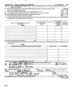## Form 990-EZ (2008) JAZZ EDUCATION NETWORK 26-2880358 Page 4

|  | <b>Part VI</b> Section 501(c)(3) organizations only. All section 501(c)(3) organizations must answer questions 46-49 and complete the |          |  |
|--|---------------------------------------------------------------------------------------------------------------------------------------|----------|--|
|  | tables for lines 50 and 51                                                                                                            |          |  |
|  | AB Did the progries on open in durant or induced political campains activities on behalf of or in opposition to capitalize for public | l Vael N |  |

l' n. <sup>I</sup> .

46 Did the organization engage in direct or indirect political campaign activities on behalf of or in opposition to candidates for public **Wes No. 1998 No. 1998 No. 1998 No. 1998 No.** 2009 office? If "Yes," complete Schedu office? If "Yes," complete Schedule C, Part I<br>Did the organization engage in lobbying activities? If "Yes," complete Schedule C, Part II 47 Did the organization engage in lobbying activities? If "Yes," complete Schedule C, Part II<br>48 Sthe organization operating a school as described in section 170(b)(1)(A)(ii)? If "Yes," complete Schedule E

48 Is the organization operating a school as described in section 170(b)(1)(A)(ii)? If "Yes," complete Schedule E 48 48 49a<br>49a Did the organization make any transfers to an exempt non-charitable related organization?

49a Did the organization make any transfers to an exempt non-charitable related organization?<br> **49a** X<sup>1</sup> + 19b 1 + 19b 1 + 19b 1 + 19b 1 + 19b 1 + 19b 1 + 19b 1 + 19b 1 + 19b 1 + 19b 1 + 19b 1 + 19b 1 + 19b 1 + 19b 1 + 19

**b** If "Yes," was the related organization(s) a section 527 organization?

50 Complete this table for the five highest compensated employees (other than officers, directors, trustees and key employees) who each received more than \$100,000 of compensation from the organization. If there is none, enter 'None.'

| (a) Name and address of each employee paid more<br>than \$100,000<br><b>NONE</b> | (b) Title and average hours<br>per week devoted to<br>position | (c) Compensation | (D) Contributions<br>to employee<br>benefit plans &<br>deferred<br>compensation | (E) Expense<br>account and<br>other allowances |
|----------------------------------------------------------------------------------|----------------------------------------------------------------|------------------|---------------------------------------------------------------------------------|------------------------------------------------|
|                                                                                  |                                                                |                  |                                                                                 |                                                |
|                                                                                  |                                                                |                  |                                                                                 |                                                |
|                                                                                  |                                                                |                  |                                                                                 |                                                |
|                                                                                  |                                                                |                  |                                                                                 |                                                |
|                                                                                  |                                                                |                  |                                                                                 |                                                |
| Total number of other employees paid over \$100,000                              |                                                                |                  |                                                                                 |                                                |

51 Complete this table for the five highest compensated independent contractors who each received more than \$100,000 of compensation from the organization. If there is none, enter 'None.'

|            | <b>NONE</b>                                                                                                                                                                                                                    |                                                              |
|------------|--------------------------------------------------------------------------------------------------------------------------------------------------------------------------------------------------------------------------------|--------------------------------------------------------------|
|            | (a) Name and address of each independent contractor paid more than \$100,000                                                                                                                                                   | (b) Type of service<br>(c) Compensation                      |
|            |                                                                                                                                                                                                                                |                                                              |
|            |                                                                                                                                                                                                                                |                                                              |
|            |                                                                                                                                                                                                                                |                                                              |
|            |                                                                                                                                                                                                                                |                                                              |
|            |                                                                                                                                                                                                                                |                                                              |
|            |                                                                                                                                                                                                                                |                                                              |
|            |                                                                                                                                                                                                                                |                                                              |
|            |                                                                                                                                                                                                                                |                                                              |
|            |                                                                                                                                                                                                                                |                                                              |
|            |                                                                                                                                                                                                                                |                                                              |
|            | Total number of other independent contractors each recensing over \$100,000                                                                                                                                                    |                                                              |
|            | Under penalties of persury, I deciate that I have examined this return, including accompanying schedules and statements, and to the best of my knowledge and belief, it is true, correct, and comparer based on all informatio |                                                              |
| Sign       |                                                                                                                                                                                                                                | $\frac{1}{2}$                                                |
| Here       | Signature of officer                                                                                                                                                                                                           | Date                                                         |
|            | PRESIDENT<br><b>PAPICH</b><br><b>MARY JO</b>                                                                                                                                                                                   |                                                              |
|            | Type or print name and title                                                                                                                                                                                                   |                                                              |
| Paid       | Preparer's signature<br>Date                                                                                                                                                                                                   | Check if self-<br>Preparer's Identifying Number (See instr.) |
| Preparer's |                                                                                                                                                                                                                                | $ $ employed $\blacktriangleright$                           |
| Use Only   | RSM MCGLADREY,<br>INC.                                                                                                                                                                                                         | EIN <sup>D</sup>                                             |
|            | Firm's name (or yours<br>LAKE COOK ROAD, STE 300<br>570<br>if self-employed).                                                                                                                                                  | Phone <sup>&gt;</sup>                                        |
|            | address, and ZIP + 4<br>60015<br><b>ILLINOIS</b><br><b>DEERFIELD,</b>                                                                                                                                                          | no.<br>$847 - 940 - 1300$                                    |
|            |                                                                                                                                                                                                                                | $\mathbf{X}$                                                 |
|            | May the IRS discuss this return with the preparer shown above? See instructions                                                                                                                                                | <b>No</b><br>Yes                                             |

<sup>832174</sup> 12-17-08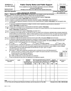|                                                                                                       | <b>SCHEDULE A</b>                                                                                                                                                                        |                                               | <b>Public Charity Status and Public Support</b>                                                                                                                                                                           |                                           |                                                   |  |                      |                       |                   | OMB No 1545-0047                      |         |    |
|-------------------------------------------------------------------------------------------------------|------------------------------------------------------------------------------------------------------------------------------------------------------------------------------------------|-----------------------------------------------|---------------------------------------------------------------------------------------------------------------------------------------------------------------------------------------------------------------------------|-------------------------------------------|---------------------------------------------------|--|----------------------|-----------------------|-------------------|---------------------------------------|---------|----|
| (Form 990 or 990-EZ)<br>To be completed by all section 501(c)(3) organizations and section 4947(a)(1) |                                                                                                                                                                                          |                                               |                                                                                                                                                                                                                           |                                           |                                                   |  |                      |                       |                   |                                       |         |    |
|                                                                                                       | nonexempt charitable trusts.<br>Department of the Treasury<br>Attach to Form 990 or Form 990-EZ. See separate instructions.<br>Internal Revenue Service                                  |                                               |                                                                                                                                                                                                                           |                                           |                                                   |  |                      | <b>Open to Public</b> | <b>Inspection</b> |                                       |         |    |
|                                                                                                       | Name of the organization                                                                                                                                                                 |                                               |                                                                                                                                                                                                                           |                                           |                                                   |  |                      |                       |                   | <b>Employer identification number</b> |         |    |
|                                                                                                       |                                                                                                                                                                                          |                                               | <b>JAZZ EDUCATION NETWORK</b>                                                                                                                                                                                             |                                           |                                                   |  |                      |                       |                   | 26-2880358                            |         |    |
| Part I                                                                                                |                                                                                                                                                                                          |                                               | Reason for Public Charity Status (All organizations must complete this part.) (see instructions)                                                                                                                          |                                           |                                                   |  |                      |                       |                   |                                       |         |    |
|                                                                                                       |                                                                                                                                                                                          |                                               | The organization is not a private foundation because it is: (Please check only one organization.)                                                                                                                         |                                           |                                                   |  |                      |                       |                   |                                       |         |    |
| 1                                                                                                     |                                                                                                                                                                                          |                                               | A church, convention of churches, or association of churches described in section 170(b)(1)(A)(i).                                                                                                                        |                                           |                                                   |  |                      |                       |                   |                                       |         |    |
| $\mathbf{2}$                                                                                          |                                                                                                                                                                                          |                                               | A school described in section 170(b)(1)(A)(ii). (Attach Schedule E)                                                                                                                                                       |                                           |                                                   |  |                      |                       |                   |                                       |         |    |
| з                                                                                                     |                                                                                                                                                                                          |                                               | A hospital or a cooperative hospital service organization described in section 170(b)(1)(A)(iii). (Attach Schedule H.)                                                                                                    |                                           |                                                   |  |                      |                       |                   |                                       |         |    |
| 4                                                                                                     |                                                                                                                                                                                          |                                               | A medical research organization operated in conjunction with a hospital described in section 170(b)(1)(A)(iii). Enter the hospital's name,                                                                                |                                           |                                                   |  |                      |                       |                   |                                       |         |    |
|                                                                                                       | city, and state:                                                                                                                                                                         |                                               |                                                                                                                                                                                                                           |                                           |                                                   |  |                      |                       |                   |                                       |         |    |
| 5                                                                                                     |                                                                                                                                                                                          |                                               | An organization operated for the benefit of a college or university owned or operated by a governmental unit described in                                                                                                 |                                           |                                                   |  |                      |                       |                   |                                       |         |    |
|                                                                                                       |                                                                                                                                                                                          | section 170(b)(1)(A)(iv). (Complete Part II.) |                                                                                                                                                                                                                           |                                           |                                                   |  |                      |                       |                   |                                       |         |    |
| 6                                                                                                     |                                                                                                                                                                                          |                                               | A federal, state, or local government or governmental unit described in section 170(b)(1)(A)(v).                                                                                                                          |                                           |                                                   |  |                      |                       |                   |                                       |         |    |
| $\lfloor x \rfloor$<br>$\overline{7}$                                                                 |                                                                                                                                                                                          |                                               | An organization that normally receives a substantial part of its support from a governmental unit or from the general public described in                                                                                 |                                           |                                                   |  |                      |                       |                   |                                       |         |    |
|                                                                                                       |                                                                                                                                                                                          | section 170(b)(1)(A)(vi). (Complete Part II.) |                                                                                                                                                                                                                           |                                           |                                                   |  |                      |                       |                   |                                       |         |    |
| 8<br>9                                                                                                |                                                                                                                                                                                          |                                               | A community trust described in section 170(b)(1)(A)(vi). (Complete Part II.)<br>An organization that normally receives: (1) more than 33 1/3% of its support from contributions, membership fees, and gross receipts from |                                           |                                                   |  |                      |                       |                   |                                       |         |    |
|                                                                                                       |                                                                                                                                                                                          |                                               | activities related to its exempt functions - subject to certain exceptions, and (2) no more than 33 1/3% of its support from gross investment                                                                             |                                           |                                                   |  |                      |                       |                   |                                       |         |    |
|                                                                                                       |                                                                                                                                                                                          |                                               |                                                                                                                                                                                                                           |                                           |                                                   |  |                      |                       |                   |                                       |         |    |
|                                                                                                       | income and unrelated business taxable income (less section 511 tax) from businesses acquired by the organization after June 30, 1975.<br>See section 509(a)(2), (Complete the Part III.) |                                               |                                                                                                                                                                                                                           |                                           |                                                   |  |                      |                       |                   |                                       |         |    |
| 10                                                                                                    | An organization organized and operated exclusively to test for public safety. See section 509(a)(4), (see instructions)                                                                  |                                               |                                                                                                                                                                                                                           |                                           |                                                   |  |                      |                       |                   |                                       |         |    |
| 11                                                                                                    |                                                                                                                                                                                          |                                               | An organization organized and operated exclusively for the benefit of, to perform the functions of, or to carry out the purposes of one or                                                                                |                                           |                                                   |  |                      |                       |                   |                                       |         |    |
|                                                                                                       |                                                                                                                                                                                          |                                               | more publicly supported organizations described in section 509(a)(1) or section 509(a)(2). See section 509(a)(3). Check the box that                                                                                      |                                           |                                                   |  |                      |                       |                   |                                       |         |    |
|                                                                                                       |                                                                                                                                                                                          |                                               | describes the type of supporting organization and complete lines 11e through 11h.                                                                                                                                         |                                           |                                                   |  |                      |                       |                   |                                       |         |    |
|                                                                                                       | $a \Box$ Type I                                                                                                                                                                          | ьl                                            | J Type II                                                                                                                                                                                                                 | c [11] Type III - Functionally integrated |                                                   |  |                      |                       | d L               | Type III - Other                      |         |    |
| e۱                                                                                                    |                                                                                                                                                                                          |                                               | By checking this box, I certify that the organization is not controlled directly or indirectly by one or more disqualified persons other than                                                                             |                                           |                                                   |  |                      |                       |                   |                                       |         |    |
|                                                                                                       |                                                                                                                                                                                          |                                               | foundation managers and other than one or more publicly supported organizations described in section 509(a)(1) or section 509(a)(2).                                                                                      |                                           |                                                   |  |                      |                       |                   |                                       |         |    |
| f                                                                                                     |                                                                                                                                                                                          |                                               | If the organization received a written determination from the IRS that it is a Type I, Type II, or Type III                                                                                                               |                                           |                                                   |  |                      |                       |                   |                                       |         |    |
|                                                                                                       |                                                                                                                                                                                          | supporting organization, check this box       | Since August 17, 2006, has the organization accepted any gift or contribution from any of the following persons?                                                                                                          |                                           |                                                   |  |                      |                       |                   |                                       |         |    |
| g                                                                                                     | (i)                                                                                                                                                                                      |                                               | A person who directly or indirectly controls, either alone or together with persons described in (ii) and (iii) below,                                                                                                    |                                           |                                                   |  |                      |                       |                   |                                       | Yes.    | No |
|                                                                                                       |                                                                                                                                                                                          |                                               | the governing body of the supported organization?                                                                                                                                                                         |                                           |                                                   |  |                      |                       |                   | 11g(i)                                |         |    |
|                                                                                                       |                                                                                                                                                                                          |                                               | (ii) A family member of a person described in (i) above?                                                                                                                                                                  |                                           |                                                   |  |                      |                       |                   | <u> 11g(ii)</u>                       |         |    |
|                                                                                                       |                                                                                                                                                                                          |                                               | (iii) A 35% controlled entity of a person described in (i) or (ii) above?                                                                                                                                                 |                                           |                                                   |  |                      |                       |                   | 11g(iii)                              |         |    |
| h                                                                                                     |                                                                                                                                                                                          |                                               | Provide the following information about the organizations the organization supports.                                                                                                                                      |                                           |                                                   |  |                      |                       |                   |                                       |         |    |
|                                                                                                       |                                                                                                                                                                                          |                                               |                                                                                                                                                                                                                           |                                           |                                                   |  |                      |                       |                   |                                       |         |    |
|                                                                                                       | (i) Name of supported                                                                                                                                                                    | $(ii)$ EIN                                    | (iii) Type of                                                                                                                                                                                                             |                                           | (iv) is the organization (v) Did you notify the   |  |                      | (vi) is the           |                   | (vii) Amount of                       |         |    |
| organization                                                                                          |                                                                                                                                                                                          |                                               | organization<br>(described on lines 1-9                                                                                                                                                                                   |                                           | in col. (i) listed in your<br>aoverning document? |  | organization in col. | organization in col.  |                   |                                       | support |    |
| (i) organized in the $U.S.$ ?<br>(i) of your support?<br>above or IRC section                         |                                                                                                                                                                                          |                                               |                                                                                                                                                                                                                           |                                           |                                                   |  |                      |                       |                   |                                       |         |    |
|                                                                                                       | <b>No</b><br><b>Yes</b><br><b>Yes</b><br><b>Yes</b><br><b>No</b><br>No<br>(see instructions))                                                                                            |                                               |                                                                                                                                                                                                                           |                                           |                                                   |  |                      |                       |                   |                                       |         |    |
|                                                                                                       |                                                                                                                                                                                          |                                               |                                                                                                                                                                                                                           |                                           |                                                   |  |                      |                       |                   |                                       |         |    |
|                                                                                                       |                                                                                                                                                                                          |                                               |                                                                                                                                                                                                                           |                                           |                                                   |  |                      |                       |                   |                                       |         |    |
|                                                                                                       |                                                                                                                                                                                          |                                               |                                                                                                                                                                                                                           |                                           |                                                   |  |                      |                       |                   |                                       |         |    |
|                                                                                                       |                                                                                                                                                                                          |                                               |                                                                                                                                                                                                                           |                                           |                                                   |  |                      |                       |                   |                                       |         |    |

 $\mathcal{A}^{\pm}$ 

 $\mathbf{r}$ 

 $\bar{\mathbf{r}}$ 

 $\ddot{\phantom{0}}$ 

LHA For Privacy Act and Paperwork Reduction Act Notice, see the Instructions for Form 990. Schedule A (Form 990 or 990-EZ) 2008

 $\mathbf{r}$  ,  $\mathbf{r}$  ,  $\mathbf{r}$  ,

**Total**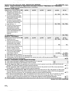|   | Schedule A (Form 990 or 990-EZ) 2008 JAZZ EDUCATION NETWORK                                                                                     |            |            |            |            |                       | $26 - 2880358$ Page 2 |
|---|-------------------------------------------------------------------------------------------------------------------------------------------------|------------|------------|------------|------------|-----------------------|-----------------------|
|   | Support Schedule for Organizations Described in Sections 170(b)(1)(A)(iv) and 170(b)(1)(A)(vi)<br>Part II                                       |            |            |            |            |                       |                       |
|   | (Complete only if you checked the box on line 5, 7, or 8 of Part I.)                                                                            |            |            |            |            |                       |                       |
|   | <b>Section A. Public Support</b>                                                                                                                |            |            |            |            |                       |                       |
|   | Calendar year (or fiscal year beginning in)                                                                                                     | (a) 2004   | $(b)$ 2005 | $(c)$ 2006 | $(d)$ 2007 | $(e)$ 2008            | (f) Total             |
|   | 1 Gifts, grants, contributions, and                                                                                                             |            |            |            |            |                       |                       |
|   | membership fees received (Do not                                                                                                                |            |            |            |            |                       |                       |
|   | include any "unusual grants.")                                                                                                                  |            |            |            |            | 50,785.               | 50,785.               |
|   | 2 Tax revenues levied for the organ-                                                                                                            |            |            |            |            |                       |                       |
|   | ization's benefit and either paid to                                                                                                            |            |            |            |            |                       |                       |
|   | or expended on its behalf                                                                                                                       |            |            |            |            |                       |                       |
|   | 3 The value of services or facilities                                                                                                           |            |            |            |            |                       |                       |
|   | furnished by a governmental unit to                                                                                                             |            |            |            |            |                       |                       |
|   | the organization without charge                                                                                                                 |            |            |            |            |                       |                       |
|   | Total, Add lines 1 3                                                                                                                            |            |            |            |            | 50,785.               | 50, 785.              |
|   | The portion of total contributions                                                                                                              |            |            |            |            |                       |                       |
|   | by each person (other than a<br>governmental unit or publicly                                                                                   |            |            |            |            |                       |                       |
|   | supported organization) included                                                                                                                |            |            |            |            |                       |                       |
|   | on line 1 that exceeds 2% of the                                                                                                                |            |            |            |            |                       |                       |
|   | amount shown on line 11.                                                                                                                        |            |            |            |            |                       |                       |
|   | column (f)                                                                                                                                      |            |            |            |            |                       |                       |
|   |                                                                                                                                                 |            |            |            |            |                       | 50,785.               |
|   | 6 Public Support. Subtract line 5 from line 4<br><b>Section B. Total Support</b>                                                                |            |            |            |            |                       |                       |
|   | Calendar year (or fiscal year beginning in)                                                                                                     | (a) $2004$ | $(b)$ 2005 |            |            |                       |                       |
|   | 7 Amounts from line 4                                                                                                                           |            |            | $(c)$ 2006 | $(d)$ 2007 | $(e)$ 2008<br>50,785. | (f) Total<br>50, 785. |
| 8 | Gross income from interest,                                                                                                                     |            |            |            |            |                       |                       |
|   | dividends, payments received on                                                                                                                 |            |            |            |            |                       |                       |
|   | securities loans, rents, royalties                                                                                                              |            |            |            |            |                       |                       |
|   | and income from similar sources                                                                                                                 |            |            |            |            | 42.                   | 42.                   |
|   | <b>9</b> Net income from unrelated business                                                                                                     |            |            |            |            |                       |                       |
|   | activities, whether or not the                                                                                                                  |            |            |            |            |                       |                       |
|   | business is regularly carried on                                                                                                                |            |            |            |            |                       |                       |
|   | 10 Other income. Do not include gain                                                                                                            |            |            |            |            |                       |                       |
|   | or loss from the sale of capital                                                                                                                |            |            |            |            |                       |                       |
|   | assets (Explain in Part IV.)                                                                                                                    |            |            |            |            | 2,025.                | 2,025.                |
|   | 11 Total support. Add lines 7 through 10                                                                                                        |            |            |            |            |                       | 52,852.               |
|   | 12 Gross receipts from related activities, etc. (see instructions)                                                                              |            |            |            |            | $\sqrt{12}$           | 2,025.                |
|   | 13 First five years. If the Form 990 is for the organization's first, second, third, fourth, or fifth tax year as a section 501(c)(3)           |            |            |            |            |                       |                       |
|   | organization, check this box and stop here                                                                                                      |            |            |            |            |                       | $\mathbf{x}$          |
|   | Section C. Computation of Public Support Percentage                                                                                             |            |            |            |            |                       |                       |
|   | 14 Public support percentage for 2008 (line 6, column (f) divided by line 11, column (f))                                                       |            |            |            |            | 14                    | %                     |
|   | 15 Public support percentage from 2007 Schedule A, Part IV-A, line 26f                                                                          |            |            |            |            | 15                    | %                     |
|   | 16a 33 1/3% support test - 2008. If the organization did not check the box on line 13, and line 14 is 33 1/3% or more, check this box and       |            |            |            |            |                       |                       |
|   | stop here. The organization qualifies as a publicly supported organization                                                                      |            |            |            |            |                       |                       |
|   | <b>b</b> 33 1/3% support test - 2007. If the organization did not check a box on line 13 or 16a, and line 15 is 33 1/3% or more, check this box |            |            |            |            |                       |                       |
|   | and stop here. The organization qualifies as a publicly supported organization                                                                  |            |            |            |            |                       |                       |
|   | 17a 10% -facts-and-circumstances test - 2008. If the organization did not check a box on line 13, 16a, or 16b, and line 14 is 10% or more,      |            |            |            |            |                       |                       |
|   | and if the organization meets the "facts-and-circumstances" test, check this box and stop here. Explain in Part IV how the organization         |            |            |            |            |                       |                       |
|   | meets the "facts and circumstances" test The organization qualifies as a publicly supported organization                                        |            |            |            |            |                       |                       |
|   | b 10% -facts-and-circumstances test - 2007. If the organization did not check a box on line 13, 16a, 16b, or 17a, and line 15 is 10% or         |            |            |            |            |                       |                       |
|   | more, and if the organization meets the "facts-and-circumstances" test, check this box and stop here. Explain in Part IV how the                |            |            |            |            |                       |                       |
|   | organization meets the "facts and circumstances" test. The organization qualifies as a publicly supported organization                          |            |            |            |            |                       |                       |
|   | 18 Private foundation. If the organization did not check a box on line 13, 16a, 16b, 17a, or 17b, check this box and see instructions           |            |            |            |            |                       |                       |

Schedule A (Form 990 or 990-EZ) 2008

- 7

 $\{x_1,\ldots,x_k\}$ 

\_\_\_\_\_\_\_\_\_\_\_

 $- - -$ 

 $\frac{1}{\sqrt{2}}$  ,  $\frac{1}{\sqrt{2}}$  ,  $\frac{1}{\sqrt{2}}$  ,  $\frac{1}{\sqrt{2}}$  ,  $\frac{1}{\sqrt{2}}$  ,  $\frac{1}{\sqrt{2}}$  ,  $\frac{1}{\sqrt{2}}$  ,  $\frac{1}{\sqrt{2}}$  ,  $\frac{1}{\sqrt{2}}$  ,  $\frac{1}{\sqrt{2}}$  ,  $\frac{1}{\sqrt{2}}$  ,  $\frac{1}{\sqrt{2}}$  ,  $\frac{1}{\sqrt{2}}$  ,  $\frac{1}{\sqrt{2}}$  ,  $\frac{1}{\sqrt{2}}$ 

 $\mathcal{O}(\mathcal{A}^{\mathrm{c}})$  , where  $\mathcal{O}(\mathcal{A}^{\mathrm{c}})$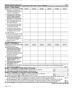|    | Schedule A (Form 990 or 990 EZ) 2008<br>Part III   Support Schedule for Organizations Described in Section 509(a)(2) (Complete only if you checked the box on line 9 of Part I.) |          |            |            |            |            | Page 3    |
|----|----------------------------------------------------------------------------------------------------------------------------------------------------------------------------------|----------|------------|------------|------------|------------|-----------|
|    | <b>Section A. Public Support</b>                                                                                                                                                 |          |            |            |            |            |           |
|    |                                                                                                                                                                                  |          |            |            |            |            |           |
|    | Calendar year (or fiscal year beginning in)                                                                                                                                      | (a) 2004 | (b) 2005   | $(c)$ 2006 | $(d)$ 2007 | (e) 2008   | (f) Total |
|    | 1 Gifts, grants, contributions, and<br>membership fees received. (Do not                                                                                                         |          |            |            |            |            |           |
|    | include any "unusual grants")                                                                                                                                                    |          |            |            |            |            |           |
|    |                                                                                                                                                                                  |          |            |            |            |            |           |
|    | 2 Gross receipts from admissions,<br>merchandise sold or services per-                                                                                                           |          |            |            |            |            |           |
|    | formed, or facilities furnished in                                                                                                                                               |          |            |            |            |            |           |
|    | any activity that is related to the                                                                                                                                              |          |            |            |            |            |           |
|    | organization's tax-exempt purpose                                                                                                                                                |          |            |            |            |            |           |
|    | 3 Gross receipts from activities that                                                                                                                                            |          |            |            |            |            |           |
|    | are not an unrelated trade or bus-                                                                                                                                               |          |            |            |            |            |           |
|    | iness under section 513                                                                                                                                                          |          |            |            |            |            |           |
|    | Tax revenues levied for the organ-                                                                                                                                               |          |            |            |            |            |           |
|    | ization's benefit and either paid to                                                                                                                                             |          |            |            |            |            |           |
|    | or expended on its behalf                                                                                                                                                        |          |            |            |            |            |           |
| 5. | The value of services or facilities                                                                                                                                              |          |            |            |            |            |           |
|    | furnished by a governmental unit to                                                                                                                                              |          |            |            |            |            |           |
|    | the organization without charge                                                                                                                                                  |          |            |            |            |            |           |
|    | 6 Total. Add lines $1 \cdot 5$                                                                                                                                                   |          |            |            |            |            |           |
|    | <b>7a Amounts included on lines 1, 2, and</b>                                                                                                                                    |          |            |            |            |            |           |
|    | 3 received from disqualified persons                                                                                                                                             |          |            |            |            |            |           |
|    | D Amounts included on lines 2 and 3 received                                                                                                                                     |          |            |            |            |            |           |
|    | from other than disqualified persons that                                                                                                                                        |          |            |            |            |            |           |
|    | exceed the greater of 1% of the total of lines 9.<br>10c, 11, and 12 for the year or \$5,000                                                                                     |          |            |            |            |            |           |
|    | c Add lines 7a and 7b                                                                                                                                                            |          |            |            |            |            |           |
|    | 8 Public support (Subtract line 7c from line 6)                                                                                                                                  |          |            |            |            |            |           |
|    | <b>Section B. Total Support</b>                                                                                                                                                  |          |            |            |            |            |           |
|    | Calendar year (or fiscal year beginning in)                                                                                                                                      | (a) 2004 | $(b)$ 2005 | (c) 2006   | $(d)$ 2007 | $(e)$ 2008 | (f) Total |
|    | 9 Amounts from line 6                                                                                                                                                            |          |            |            |            |            |           |
|    | 10a Gross income from interest,                                                                                                                                                  |          |            |            |            |            |           |
|    | dividends, payments received on                                                                                                                                                  |          |            |            |            |            |           |
|    | securities loans, rents, royalties<br>and income from similar sources                                                                                                            |          |            |            |            |            |           |
|    | <b>b</b> Unrelated business taxable income                                                                                                                                       |          |            |            |            |            |           |
|    | (less section 511 taxes) from businesses                                                                                                                                         |          |            |            |            |            |           |
|    | acquired after June 30, 1975                                                                                                                                                     |          |            |            |            |            |           |
|    |                                                                                                                                                                                  |          |            |            |            |            |           |
|    | c Add lines 10a and 10b<br>11 Net income from unrelated business                                                                                                                 |          |            |            |            |            |           |
|    | activities not included in line 10b.                                                                                                                                             |          |            |            |            |            |           |
|    | whether or not the business is                                                                                                                                                   |          |            |            |            |            |           |
|    | regularly carried on                                                                                                                                                             |          |            |            |            |            |           |
|    | 12 Other income. Do not include gain<br>or loss from the sale of capital                                                                                                         |          |            |            |            |            |           |
|    | assets (Explain in Part IV)                                                                                                                                                      |          |            |            |            |            |           |
|    | 13 Total support (Add lines 9, 10c, 11, and 12)                                                                                                                                  |          |            |            |            |            |           |
|    | 14 First five years. If the Form 990 is for the organization's first, second, third, fourth, or fifth tax year as a section 501(c)(3) organization,                              |          |            |            |            |            |           |
|    | check this box and stop here                                                                                                                                                     |          |            |            |            |            |           |
|    | <b>Section C. Computation of Public Support Percentage</b>                                                                                                                       |          |            |            |            |            |           |
|    | 15 Public support percentage for 2008 (line 8, column (f) divided by line 13, column (f))                                                                                        |          |            |            |            | 15         | %         |
| 16 | Public support percentage from 2007 Schedule A, Part IV-A, line 27g                                                                                                              |          |            |            |            | 16         | %         |
|    | Section D. Computation of Investment Income Percentage                                                                                                                           |          |            |            |            |            |           |
|    | 17 Investment income percentage for 2008 (line 10c, column (f) divided by line 13, column (f))                                                                                   |          |            |            |            | 17         | <u>%</u>  |
| 18 | Investment income percentage from 2007 Schedule A, Part IV-A, line 27h                                                                                                           |          |            |            |            | 18         | %         |
|    | 19a 33 1/3% support tests - 2008. If the organization did not check the box on line 14, and line 15 is more than 33 1/3%, and line 17 is not                                     |          |            |            |            |            |           |
|    | more than 33 1/3%, check this box and stop here. The organization qualifies as a publicly supported organization                                                                 |          |            |            |            |            |           |
|    | b 33 1/3% support tests - 2007. If the organization did not check a box on line 14 or line 19a, and line 16 is more than 33 1/3%, and                                            |          |            |            |            |            |           |
|    | line 18 is not more than 33 1/3%, check this box and stop here. The organization qualifies as a publicly supported organization                                                  |          |            |            |            |            |           |
|    | 20 Private foundation. If the organization did not check a box on line 14, 19a, or 19b, check this box and see instructions                                                      |          |            |            |            |            |           |
|    |                                                                                                                                                                                  |          |            |            |            |            |           |

Schedule A (Form 990 or 990-EZ) 2008

 $\langle \cdot \rangle$ 

 $\alpha_{\rm{max}}=1$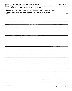| $\mathcal{F}(\mathcal{G})$ and $\mathcal{G}(\mathcal{G})$                                                                                                                                                                               |
|-----------------------------------------------------------------------------------------------------------------------------------------------------------------------------------------------------------------------------------------|
| 26-2880358 Page 4<br>Schedule A (Form 990 or 990-EZ) 2008 JAZZ EDUCATION NETWORK                                                                                                                                                        |
| <b>Part IV</b><br>Supplemental Information. Complete this part to provide the explanation required by Part II, line 10; Part II, line 17a or 17b;<br>or Part III, line 12. Provide any other additional information. (see instructions) |
| SCHEDULE A, PART II, LINE 10, EXPLANATION FOR OTHER INCOME:                                                                                                                                                                             |
| REGISTRATION FEES FOR THE SUMMER AND WINTER NAMM SHOWS                                                                                                                                                                                  |
|                                                                                                                                                                                                                                         |
|                                                                                                                                                                                                                                         |
|                                                                                                                                                                                                                                         |
|                                                                                                                                                                                                                                         |
|                                                                                                                                                                                                                                         |
| $\bullet$                                                                                                                                                                                                                               |
|                                                                                                                                                                                                                                         |
|                                                                                                                                                                                                                                         |
|                                                                                                                                                                                                                                         |
|                                                                                                                                                                                                                                         |
|                                                                                                                                                                                                                                         |
|                                                                                                                                                                                                                                         |
|                                                                                                                                                                                                                                         |
|                                                                                                                                                                                                                                         |
|                                                                                                                                                                                                                                         |
|                                                                                                                                                                                                                                         |
|                                                                                                                                                                                                                                         |
|                                                                                                                                                                                                                                         |
|                                                                                                                                                                                                                                         |
|                                                                                                                                                                                                                                         |
|                                                                                                                                                                                                                                         |
|                                                                                                                                                                                                                                         |
|                                                                                                                                                                                                                                         |
|                                                                                                                                                                                                                                         |
|                                                                                                                                                                                                                                         |
|                                                                                                                                                                                                                                         |
|                                                                                                                                                                                                                                         |
|                                                                                                                                                                                                                                         |
|                                                                                                                                                                                                                                         |
|                                                                                                                                                                                                                                         |
|                                                                                                                                                                                                                                         |
|                                                                                                                                                                                                                                         |
|                                                                                                                                                                                                                                         |
|                                                                                                                                                                                                                                         |

 $\label{eq:2} \mathcal{L}(\mathbf{r}) = \mathcal{L}(\mathbf{r}) \mathcal{L}(\mathbf{r}) = \mathcal{L}(\mathbf{r})$ 

<u>a shekara ta 1999</u>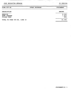## JAZZ EDUCATION NETWORK 26-2880358

 $\sim$   $\epsilon$ 

 $\sim$ 

——————

| FORM $990 - EZ$                                             | OTHER EXPENSES | <b>STATEMENT</b>         |
|-------------------------------------------------------------|----------------|--------------------------|
| DESCRIPTION                                                 |                | <b>AMOUNT</b>            |
| <b>WEBSITE</b><br><b>BANK CHARGES</b><br><b>FILING FEES</b> |                | 8,000.<br>1,453.<br>882. |
| TOTAL TO FORM 990-EZ, LINE 16                               |                | 10,335.                  |

 $\hat{\mathcal{A}}$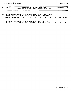------

<u> 1950 - Jan André A</u>

 $\sim$   $\sim$ 

 $\sim 10^{-10}$ 

| FORM 990-EZ |  | <b>INFORMATION REGARDING TRANSFERS</b><br>ASSOCIATED WITH PERSONAL BENEFIT CONTRACTS                                              | STATEMENT 2 |  |  |  |
|-------------|--|-----------------------------------------------------------------------------------------------------------------------------------|-------------|--|--|--|
|             |  | A) DID THE ORGANIZATION, DURING THE YEAR, RECEIVE ANY FUNDS,<br>DIRECTLY OR INDIRECTLY, TO PAY PREMIUMS ON A PERSONAL             |             |  |  |  |
|             |  | B) DID THE ORGANIZATION, DURING THE YEAR, PAY PREMIUMS,<br>DIRECTLY OR INDIRECTLY, ON A PERSONAL BENEFIT CONTRACT? [ ] YES [X] NO |             |  |  |  |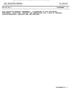990-EZ PG 2 STATEMENT 3

\_\_\_\_\_\_

 $\sim 100$ 

 $\bullet$ 

JAZZ EDUCATION NETWORK CONFERENCE — A GATHERING OF JAZZ EDUCATORS, PERFORMERS, CLINICIANS, INDUSTRY AND ENTHUSIASTS FOR <sup>3</sup> DAYS OF CONCERTS, CLINICS/WORKSHOPS, EXHIBITS AND JAM SESSIONS.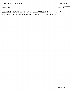990-EZ PG 2 STATEMENT 4

JAZZ TEACHER TRAINING - THROUGH A COLLABORATION WITH MUSIC FOR ALL, A PRESENTATION IS MADE AT THE MFA/JEN SUMMER SYMPOSIUM IN JUNE EACH YEAR. ADDITIONAL TEACHER TRAINING IS DONE THROUGH CLINICS AND WORKSHOPS.

 $\bullet$ 

 $\ddot{\phantom{0}}$